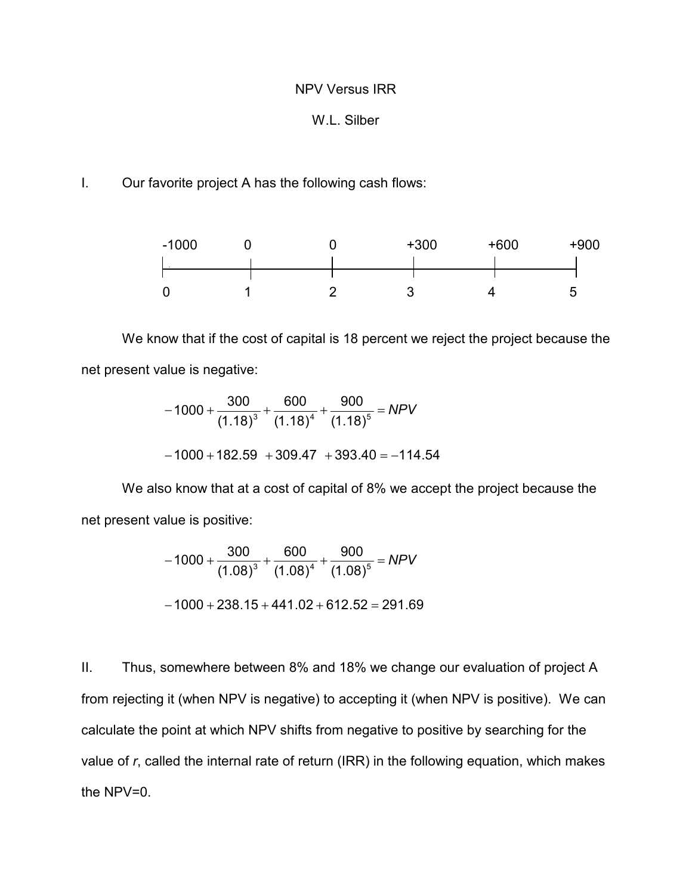## NPV Versus IRR

## W.L. Silber

## I. Our favorite project A has the following cash flows:



We know that if the cost of capital is 18 percent we reject the project because the net present value is negative:

$$
-1000 + \frac{300}{(1.18)^3} + \frac{600}{(1.18)^4} + \frac{900}{(1.18)^5} = NPV
$$
  
-1000 + 182.59 + 309.47 + 393.40 = -114.54

We also know that at a cost of capital of 8% we accept the project because the net present value is positive:

$$
-1000 + \frac{300}{(1.08)^3} + \frac{600}{(1.08)^4} + \frac{900}{(1.08)^5} = NPV
$$

$$
-1000 + 238.15 + 441.02 + 612.52 = 291.69
$$

II. Thus, somewhere between 8% and 18% we change our evaluation of project A from rejecting it (when NPV is negative) to accepting it (when NPV is positive). We can calculate the point at which NPV shifts from negative to positive by searching for the value of *r*, called the internal rate of return (IRR) in the following equation, which makes the NPV=0.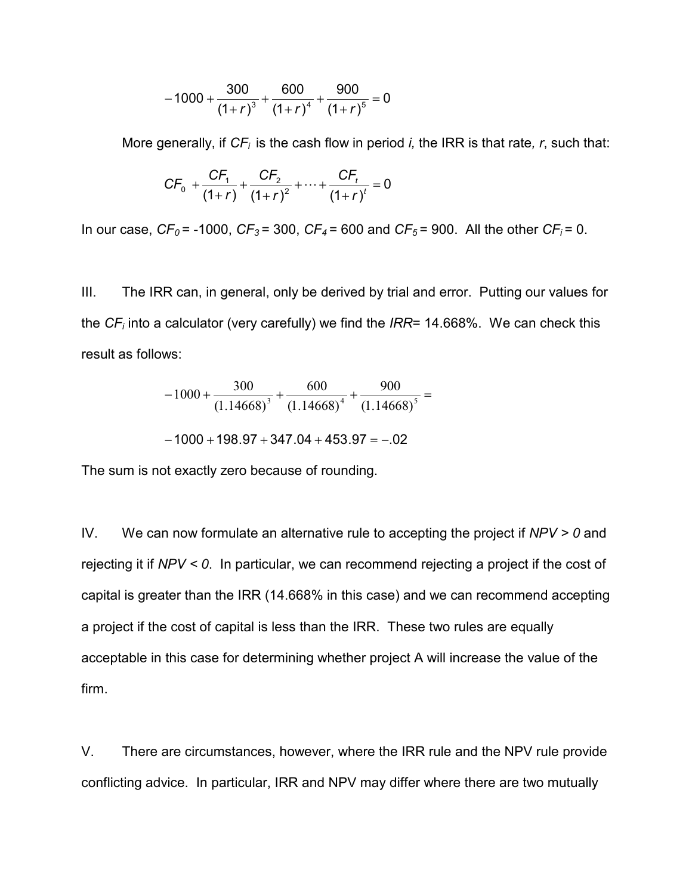$$
-1000+\frac{300}{\left(1+r\right)^3}+\frac{600}{\left(1+r\right)^4}+\frac{900}{\left(1+r\right)^5}=0
$$

More generally, if  $CF_i$  is the cash flow in period *i*, the IRR is that rate, r, such that:

$$
CF_0 + \frac{CF_1}{(1+r)} + \frac{CF_2}{(1+r)^2} + \dots + \frac{CF_t}{(1+r)^t} = 0
$$

In our case,  $CF_0 = -1000$ ,  $CF_3 = 300$ ,  $CF_4 = 600$  and  $CF_5 = 900$ . All the other  $CF_i = 0$ .

III. The IRR can, in general, only be derived by trial and error. Putting our values for the *CFi* into a calculator (very carefully) we find the *IRR*= 14.668%. We can check this result as follows:

$$
-1000 + \frac{300}{(1.14668)^3} + \frac{600}{(1.14668)^4} + \frac{900}{(1.14668)^5} =
$$

$$
-1000+198.97+347.04+453.97=-.02
$$

The sum is not exactly zero because of rounding.

IV. We can now formulate an alternative rule to accepting the project if *NPV > 0* and rejecting it if *NPV < 0*. In particular, we can recommend rejecting a project if the cost of capital is greater than the IRR (14.668% in this case) and we can recommend accepting a project if the cost of capital is less than the IRR. These two rules are equally acceptable in this case for determining whether project A will increase the value of the firm.

V. There are circumstances, however, where the IRR rule and the NPV rule provide conflicting advice. In particular, IRR and NPV may differ where there are two mutually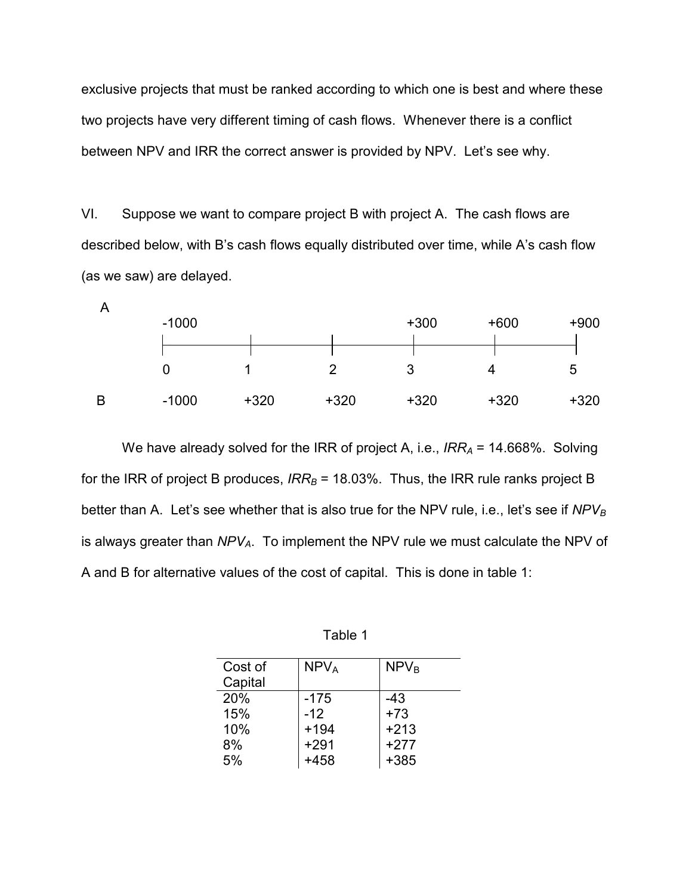exclusive projects that must be ranked according to which one is best and where these two projects have very different timing of cash flows. Whenever there is a conflict between NPV and IRR the correct answer is provided by NPV. Let's see why.

VI. Suppose we want to compare project B with project A. The cash flows are described below, with B's cash flows equally distributed over time, while A's cash flow (as we saw) are delayed.



We have already solved for the IRR of project A, i.e., *IRR<sub>A</sub>* = 14.668%. Solving for the IRR of project B produces,  $IRR<sub>B</sub>$  = 18.03%. Thus, the IRR rule ranks project B better than A. Let's see whether that is also true for the NPV rule, i.e., let's see if NPV<sub>B</sub> is always greater than *NPVA*. To implement the NPV rule we must calculate the NPV of A and B for alternative values of the cost of capital. This is done in table 1:

| able |  |  |
|------|--|--|
|------|--|--|

| Cost of | NPV <sub>A</sub> | NPV <sub>B</sub> |
|---------|------------------|------------------|
| Capital |                  |                  |
| 20%     | $-175$           | -43              |
| 15%     | $-12$            | $+73$            |
| 10%     | $+194$           | $+213$           |
| 8%      | $+291$           | $+277$           |
| 5%      | +458             | +385             |
|         |                  |                  |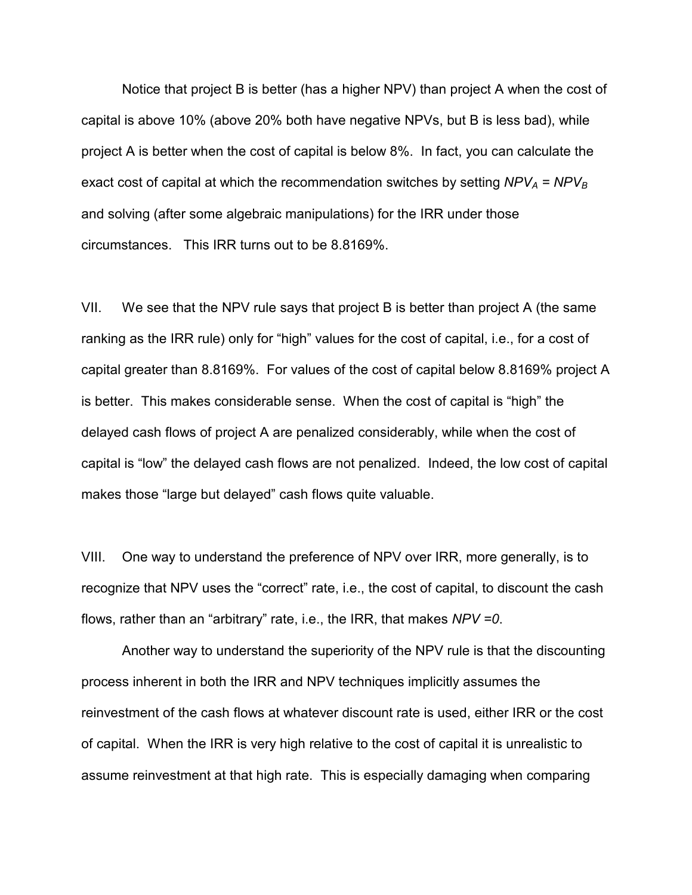Notice that project B is better (has a higher NPV) than project A when the cost of capital is above 10% (above 20% both have negative NPVs, but B is less bad), while project A is better when the cost of capital is below 8%. In fact, you can calculate the exact cost of capital at which the recommendation switches by setting  $NPV_A = NPV_B$ and solving (after some algebraic manipulations) for the IRR under those circumstances. This IRR turns out to be 8.8169%.

VII. We see that the NPV rule says that project B is better than project A (the same ranking as the IRR rule) only for "high" values for the cost of capital, i.e., for a cost of capital greater than 8.8169%. For values of the cost of capital below 8.8169% project A is better. This makes considerable sense. When the cost of capital is "high" the delayed cash flows of project A are penalized considerably, while when the cost of capital is "low" the delayed cash flows are not penalized. Indeed, the low cost of capital makes those "large but delayed" cash flows quite valuable.

VIII. One way to understand the preference of NPV over IRR, more generally, is to recognize that NPV uses the "correct" rate, i.e., the cost of capital, to discount the cash flows, rather than an "arbitrary" rate, i.e., the IRR, that makes *NPV =0*.

 Another way to understand the superiority of the NPV rule is that the discounting process inherent in both the IRR and NPV techniques implicitly assumes the reinvestment of the cash flows at whatever discount rate is used, either IRR or the cost of capital. When the IRR is very high relative to the cost of capital it is unrealistic to assume reinvestment at that high rate. This is especially damaging when comparing